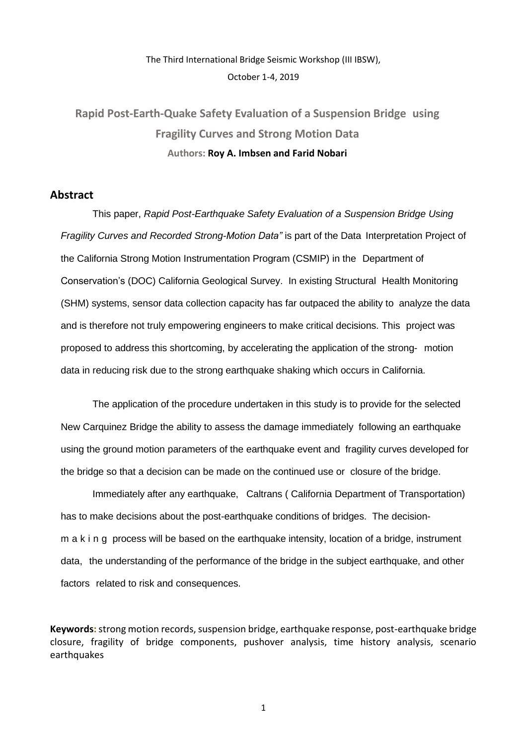# The Third International Bridge Seismic Workshop (III IBSW), October 1-4, 2019

# **Rapid Post-Earth-Quake Safety Evaluation of a Suspension Bridge using Fragility Curves and Strong Motion Data Authors: Roy A. Imbsen and Farid Nobari**

#### **Abstract**

This paper, *Rapid Post-Earthquake Safety Evaluation of a Suspension Bridge Using Fragility Curves and Recorded Strong-Motion Data"* is part of the Data Interpretation Project of the California Strong Motion Instrumentation Program (CSMIP) in the Department of Conservation's (DOC) California Geological Survey. In existing Structural Health Monitoring (SHM) systems, sensor data collection capacity has far outpaced the ability to analyze the data and is therefore not truly empowering engineers to make critical decisions. This project was proposed to address this shortcoming, by accelerating the application of the strong- motion data in reducing risk due to the strong earthquake shaking which occurs in California.

The application of the procedure undertaken in this study is to provide for the selected New Carquinez Bridge the ability to assess the damage immediately following an earthquake using the ground motion parameters of the earthquake event and fragility curves developed for the bridge so that a decision can be made on the continued use or closure of the bridge.

Immediately after any earthquake, Caltrans ( California Department of Transportation) has to make decisions about the post-earthquake conditions of bridges. The decisionm a k i n g process will be based on the earthquake intensity, location of a bridge, instrument data, the understanding of the performance of the bridge in the subject earthquake, and other factors related to risk and consequences.

**Keywords:**strong motion records, suspension bridge, earthquake response, post-earthquake bridge closure, fragility of bridge components, pushover analysis, time history analysis, scenario earthquakes

1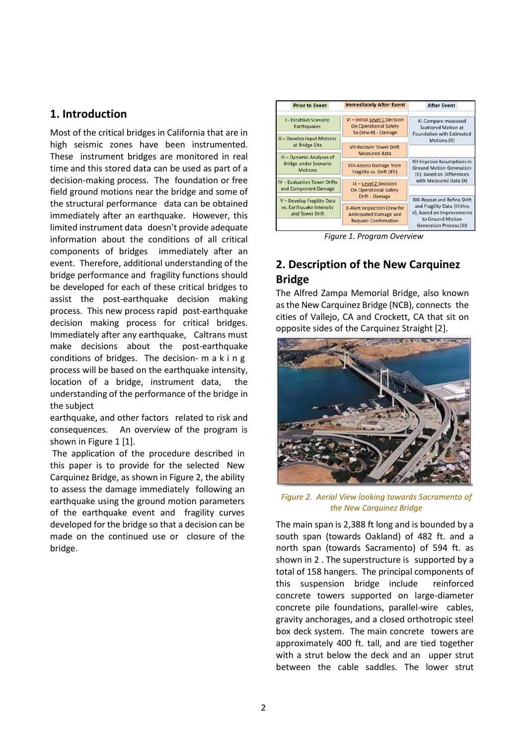# **1. Introduction**

Most of the critical bridges in California that are in high seismic zones have been instrumented. These instrument bridges are monitored in real time and this stored data can be used as part of a decision-making process. The foundation or free field ground motions near the bridge and some of the structural performance data can be obtained immediately after an earthquake. However, this limited instrument data doesn't provide adequate information about the conditions of all critical components of bridges immediately after an event. Therefore, additional understanding of the bridge performance and fragility functions should be developed for each of these critical bridges to assist the post-earthquake decision making process. This new process rapid post-earthquake decision making process for critical bridges. Immediately after any earthquake, Caltrans must make decisions about the post-earthquake conditions of bridges. The decision- m a k i n g process will be based on the earthquake intensity, location of a bridge, instrument data, the understanding of the performance of the bridge in the subject

earthquake, and other factors related to risk and consequences. An overview of the program is shown in Figure 1 [1].

The application of the procedure described in this paper is to provide for the selected New Carquinez Bridge, as shown in Figure 2, the ability to assess the damage immediately following an earthquake using the ground motion parameters of the earthquake event and fragility curves developed for the bridge so that a decision can be made on the continued use or closure of the bridge.



*Figure 1. Program Overview*

# **2. Description of the New Carquinez Bridge**

The Alfred Zampa Memorial Bridge, also known asthe New Carquinez Bridge (NCB), connects the cities of Vallejo, CA and Crockett, CA that sit on opposite sides of the Carquinez Straight [2].



*Figure 2. Aerial View looking towards Sacramento of the New Carquinez Bridge*

The main span is 2,388 ft long and is bounded by a south span (towards Oakland) of 482 ft. and a north span (towards Sacramento) of 594 ft. as shown in 2 . The superstructure is supported by a total of 158 hangers. The principal components of this suspension bridge include reinforced concrete towers supported on large-diameter concrete pile foundations, parallel-wire cables, gravity anchorages, and a closed orthotropic steel box deck system. The main concrete towers are approximately 400 ft. tall, and are tied together with a strut below the deck and an upper strut between the cable saddles. The lower strut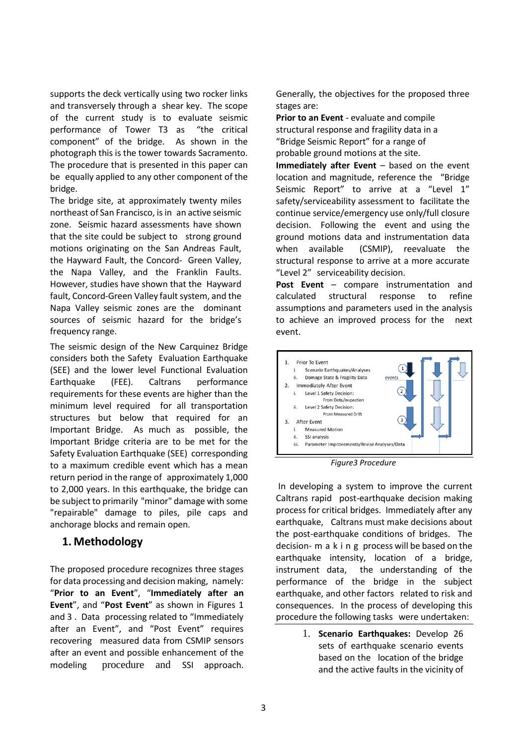supports the deck vertically using two rocker links and transversely through a shear key. The scope of the current study is to evaluate seismic performance of Tower T3 as "the critical component" of the bridge. As shown in the photograph this is the tower towards Sacramento. The procedure that is presented in this paper can be equally applied to any other component of the bridge.

The bridge site, at approximately twenty miles northeast of San Francisco, is in an active seismic zone. Seismic hazard assessments have shown that the site could be subject to strong ground motions originating on the San Andreas Fault, the Hayward Fault, the Concord- Green Valley, the Napa Valley, and the Franklin Faults. However, studies have shown that the Hayward fault, Concord-Green Valley fault system, and the Napa Valley seismic zones are the dominant sources of seismic hazard for the bridge's frequency range.

The seismic design of the New Carquinez Bridge considers both the Safety Evaluation Earthquake (SEE) and the lower level Functional Evaluation Earthquake (FEE). Caltrans performance requirements for these events are higher than the minimum level required for all transportation structures but below that required for an Important Bridge. As much as possible, the Important Bridge criteria are to be met for the Safety Evaluation Earthquake (SEE) corresponding to a maximum credible event which has a mean return period in the range of approximately 1,000 to 2,000 years. In this earthquake, the bridge can be subject to primarily "minor" damage with some "repairable" damage to piles, pile caps and anchorage blocks and remain open.

### **1. Methodology**

The proposed procedure recognizes three stages for data processing and decision making, namely: "**Prior to an Event**", "**Immediately after an Event**", and "**Post Event**" as shown in Figures 1 and 3 . Data processing related to "Immediately after an Event", and "Post Event" requires recovering measured data from CSMIP sensors after an event and possible enhancement of the modeling procedure and SSI approach. Generally, the objectives for the proposed three stages are:

**Prior to an Event** - evaluate and compile structural response and fragility data in a "Bridge Seismic Report" for a range of probable ground motions at the site.

**Immediately after Event** – based on the event location and magnitude, reference the "Bridge Seismic Report" to arrive at a "Level 1" safety/serviceability assessment to facilitate the continue service/emergency use only/full closure decision. Following the event and using the ground motions data and instrumentation data when available (CSMIP), reevaluate the structural response to arrive at a more accurate "Level 2" serviceability decision.

**Post Event** – compare instrumentation and calculated structural response to refine assumptions and parameters used in the analysis to achieve an improved process for the next event.



*Figure3 Procedure*

In developing a system to improve the current Caltrans rapid post-earthquake decision making process for critical bridges. Immediately after any earthquake, Caltrans must make decisions about the post-earthquake conditions of bridges. The decision- m a k i n g process will be based on the earthquake intensity, location of a bridge, instrument data, the understanding of the performance of the bridge in the subject earthquake, and other factors related to risk and consequences. In the process of developing this procedure the following tasks were undertaken:

> 1. **Scenario Earthquakes:** Develop 26 sets of earthquake scenario events based on the location of the bridge and the active faults in the vicinity of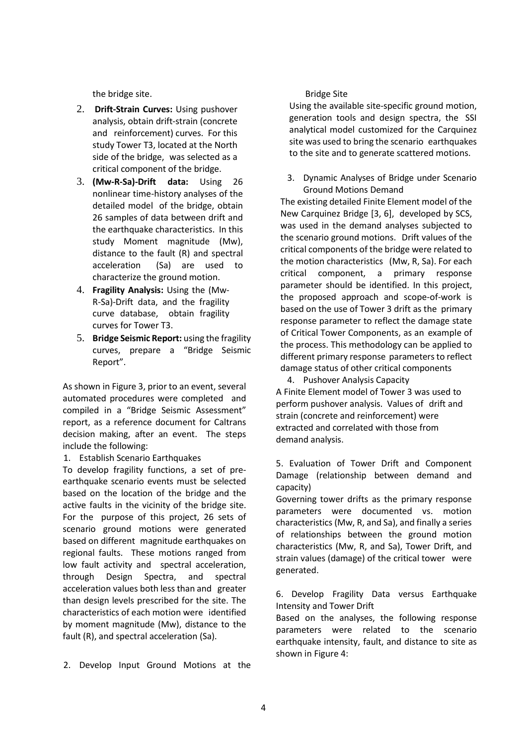the bridge site.

- 2. **Drift-Strain Curves:** Using pushover analysis, obtain drift-strain (concrete and reinforcement) curves. For this study Tower T3, located at the North side of the bridge, was selected as a critical component of the bridge.
- 3. **(Mw-R-Sa)-Drift data:** Using 26 nonlinear time-history analyses of the detailed model of the bridge, obtain 26 samples of data between drift and the earthquake characteristics. In this study Moment magnitude (Mw), distance to the fault (R) and spectral acceleration (Sa) are used to characterize the ground motion.
- 4. **Fragility Analysis:** Using the (Mw-R-Sa)-Drift data, and the fragility curve database, obtain fragility curves for Tower T3.
- 5. **Bridge Seismic Report:** using the fragility curves, prepare a "Bridge Seismic Report".

As shown in Figure 3, prior to an event, several automated procedures were completed and compiled in a "Bridge Seismic Assessment" report, as a reference document for Caltrans decision making, after an event. The steps include the following:

1. Establish Scenario Earthquakes

To develop fragility functions, a set of preearthquake scenario events must be selected based on the location of the bridge and the active faults in the vicinity of the bridge site. For the purpose of this project, 26 sets of scenario ground motions were generated based on different magnitude earthquakes on regional faults. These motions ranged from low fault activity and spectral acceleration, through Design Spectra, and spectral acceleration values both less than and greater than design levels prescribed for the site. The characteristics of each motion were identified by moment magnitude (Mw), distance to the fault (R), and spectral acceleration (Sa).

2. Develop Input Ground Motions at the

Bridge Site

Using the available site-specific ground motion, generation tools and design spectra, the SSI analytical model customized for the Carquinez site was used to bring the scenario earthquakes to the site and to generate scattered motions.

3. Dynamic Analyses of Bridge under Scenario Ground Motions Demand

The existing detailed Finite Element model of the New Carquinez Bridge [3, 6], developed by SCS, was used in the demand analyses subjected to the scenario ground motions. Drift values of the critical components of the bridge were related to the motion characteristics (Mw, R, Sa). For each critical component, a primary response parameter should be identified. In this project, the proposed approach and scope-of-work is based on the use of Tower 3 drift as the primary response parameter to reflect the damage state of Critical Tower Components, as an example of the process. This methodology can be applied to different primary response parameters to reflect damage status of other critical components

4. Pushover Analysis Capacity A Finite Element model of Tower 3 was used to perform pushover analysis. Values of drift and strain (concrete and reinforcement) were extracted and correlated with those from demand analysis.

5. Evaluation of Tower Drift and Component Damage (relationship between demand and capacity)

Governing tower drifts as the primary response parameters were documented vs. motion characteristics (Mw, R, and Sa), and finally a series of relationships between the ground motion characteristics (Mw, R, and Sa), Tower Drift, and strain values (damage) of the critical tower were generated.

6. Develop Fragility Data versus Earthquake Intensity and Tower Drift

Based on the analyses, the following response parameters were related to the scenario earthquake intensity, fault, and distance to site as shown in Figure 4: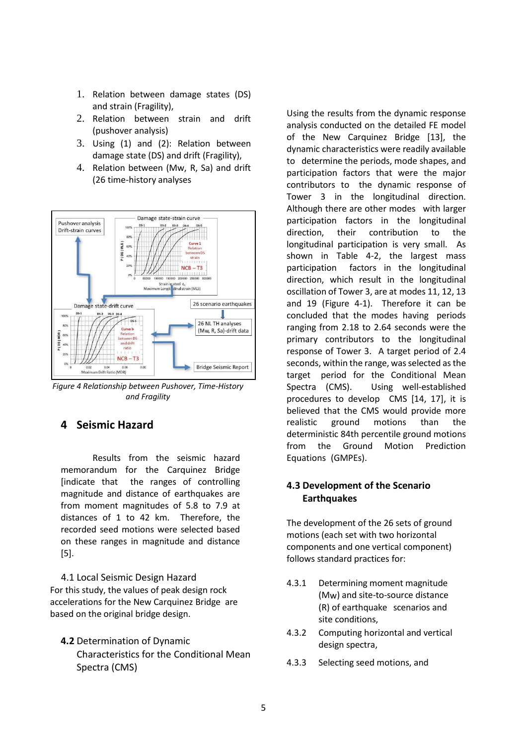- 1. Relation between damage states (DS) and strain (Fragility),
- 2. Relation between strain and drift (pushover analysis)
- 3. Using (1) and (2): Relation between damage state (DS) and drift (Fragility),
- 4. Relation between (Mw, R, Sa) and drift (26 time-history analyses



*Figure 4 Relationship between Pushover, Time-History and Fragility*

# **4 Seismic Hazard**

Results from the seismic hazard memorandum for the Carquinez Bridge [indicate that the ranges of controlling magnitude and distance of earthquakes are from moment magnitudes of 5.8 to 7.9 at distances of 1 to 42 km. Therefore, the recorded seed motions were selected based on these ranges in magnitude and distance [5].

 4.1 Local Seismic Design Hazard For this study, the values of peak design rock accelerations for the New Carquinez Bridge are based on the original bridge design.

**4.2** Determination of Dynamic Characteristics for the Conditional Mean Spectra (CMS)

Using the results from the dynamic response analysis conducted on the detailed FE model of the New Carquinez Bridge [13], the dynamic characteristics were readily available to determine the periods, mode shapes, and participation factors that were the major contributors to the dynamic response of Tower 3 in the longitudinal direction. Although there are other modes with larger participation factors in the longitudinal direction, their contribution to the longitudinal participation is very small. As shown in Table 4-2, the largest mass participation factors in the longitudinal direction, which result in the longitudinal oscillation of Tower 3, are at modes 11, 12, 13 and 19 (Figure 4-1). Therefore it can be concluded that the modes having periods ranging from 2.18 to 2.64 seconds were the primary contributors to the longitudinal response of Tower 3. A target period of 2.4 seconds, within the range, was selected as the target period for the Conditional Mean Spectra (CMS). Using well-established procedures to develop CMS [14, 17], it is believed that the CMS would provide more realistic ground motions than the deterministic 84th percentile ground motions from the Ground Motion Prediction Equations (GMPEs).

#### **4.3 Development of the Scenario Earthquakes**

The development of the 26 sets of ground motions (each set with two horizontal components and one vertical component) follows standard practices for:

- 4.3.1 Determining moment magnitude (Mw) and site-to-source distance (R) of earthquake scenarios and site conditions,
- 4.3.2 Computing horizontal and vertical design spectra,
- 4.3.3 Selecting seed motions, and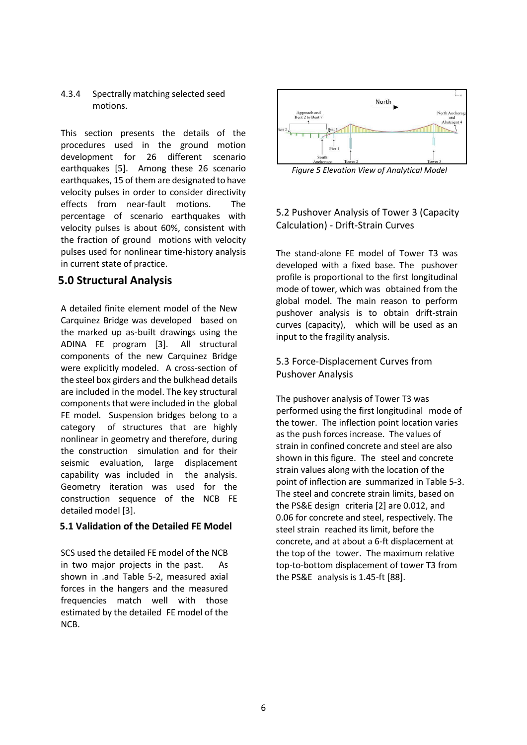#### 4.3.4 Spectrally matching selected seed motions.

This section presents the details of the procedures used in the ground motion development for 26 different scenario earthquakes [5]. Among these 26 scenario earthquakes, 15 of them are designated to have velocity pulses in order to consider directivity effects from near-fault motions. The percentage of scenario earthquakes with velocity pulses is about 60%, consistent with the fraction of ground motions with velocity pulses used for nonlinear time-history analysis in current state of practice.

# **5.0 Structural Analysis**

A detailed finite element model of the New Carquinez Bridge was developed based on the marked up as-built drawings using the ADINA FE program [3]. All structural components of the new Carquinez Bridge were explicitly modeled. A cross-section of the steel box girders and the bulkhead details are included in the model. The key structural components that were included in the global FE model. Suspension bridges belong to a category of structures that are highly nonlinear in geometry and therefore, during the construction simulation and for their seismic evaluation, large displacement capability was included in the analysis. Geometry iteration was used for the construction sequence of the NCB FE detailed model [3].

#### **5.1 Validation of the Detailed FE Model**

SCS used the detailed FE model of the NCB in two major projects in the past. As shown in .and Table 5-2, measured axial forces in the hangers and the measured frequencies match well with those estimated by the detailed FE model of the NCB.



*Figure 5 Elevation View of Analytical Model*

### 5.2 Pushover Analysis of Tower 3 (Capacity Calculation) - Drift-Strain Curves

The stand-alone FE model of Tower T3 was developed with a fixed base. The pushover profile is proportional to the first longitudinal mode of tower, which was obtained from the global model. The main reason to perform pushover analysis is to obtain drift-strain curves (capacity), which will be used as an input to the fragility analysis.

#### 5.3 Force-Displacement Curves from Pushover Analysis

The pushover analysis of Tower T3 was performed using the first longitudinal mode of the tower. The inflection point location varies as the push forces increase. The values of strain in confined concrete and steel are also shown in this figure. The steel and concrete strain values along with the location of the point of inflection are summarized in Table 5-3. The steel and concrete strain limits, based on the PS&E design criteria [2] are 0.012, and 0.06 for concrete and steel, respectively. The steel strain reached its limit, before the concrete, and at about a 6-ft displacement at the top of the tower. The maximum relative top-to-bottom displacement of tower T3 from the PS&E analysis is 1.45-ft [88].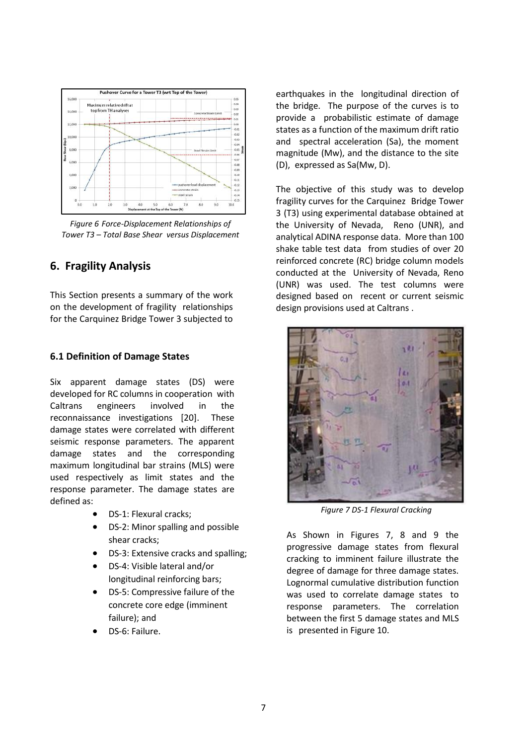

*Figure 6 Force-Displacement Relationships of Tower T3 – Total Base Shear versus Displacement*

# **6. Fragility Analysis**

This Section presents a summary of the work on the development of fragility relationships for the Carquinez Bridge Tower 3 subjected to

#### **6.1 Definition of Damage States**

Six apparent damage states (DS) were developed for RC columns in cooperation with Caltrans engineers involved in the reconnaissance investigations [20]. These damage states were correlated with different seismic response parameters. The apparent damage states and the corresponding maximum longitudinal bar strains (MLS) were used respectively as limit states and the response parameter. The damage states are defined as:

- DS-1: Flexural cracks;
- DS-2: Minor spalling and possible shear cracks;
- DS-3: Extensive cracks and spalling;
- DS-4: Visible lateral and/or longitudinal reinforcing bars;
- DS-5: Compressive failure of the concrete core edge (imminent failure); and
- DS-6: Failure.

earthquakes in the longitudinal direction of the bridge. The purpose of the curves is to provide a probabilistic estimate of damage states as a function of the maximum drift ratio and spectral acceleration (Sa), the moment magnitude (Mw), and the distance to the site (D), expressed as Sa(Mw, D).

The objective of this study was to develop fragility curves for the Carquinez Bridge Tower 3 (T3) using experimental database obtained at the University of Nevada, Reno (UNR), and analytical ADINA response data. More than 100 shake table test data from studies of over 20 reinforced concrete (RC) bridge column models conducted at the University of Nevada, Reno (UNR) was used. The test columns were designed based on recent or current seismic design provisions used at Caltrans .



*Figure 7 DS-1 Flexural Cracking*

As Shown in Figures 7, 8 and 9 the progressive damage states from flexural cracking to imminent failure illustrate the degree of damage for three damage states. Lognormal cumulative distribution function was used to correlate damage states to response parameters. The correlation between the first 5 damage states and MLS is presented in Figure 10.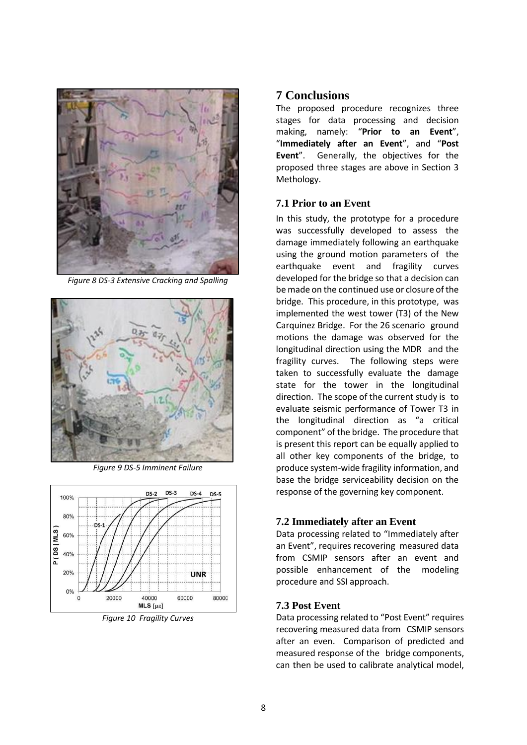

*Figure 8 DS-3 Extensive Cracking and Spalling* 



*Figure 9 DS-5 Imminent Failure*



*Figure 10 Fragility Curves* 

# **7 Conclusions**

The proposed procedure recognizes three stages for data processing and decision making, namely: "**Prior to an Event**", "**Immediately after an Event**", and "**Post Event**". Generally, the objectives for the proposed three stages are above in Section 3 Methology.

## **7.1 Prior to an Event**

In this study, the prototype for a procedure was successfully developed to assess the damage immediately following an earthquake using the ground motion parameters of the earthquake event and fragility curves developed for the bridge so that a decision can be made on the continued use or closure of the bridge. This procedure, in this prototype, was implemented the west tower (T3) of the New Carquinez Bridge. For the 26 scenario ground motions the damage was observed for the longitudinal direction using the MDR and the fragility curves. The following steps were taken to successfully evaluate the damage state for the tower in the longitudinal direction. The scope of the current study is to evaluate seismic performance of Tower T3 in the longitudinal direction as "a critical component" of the bridge. The procedure that is present this report can be equally applied to all other key components of the bridge, to produce system-wide fragility information, and base the bridge serviceability decision on the response of the governing key component.

# **7.2 Immediately after an Event**

Data processing related to "Immediately after an Event", requires recovering measured data from CSMIP sensors after an event and possible enhancement of the modeling procedure and SSI approach.

# **7.3 Post Event**

Data processing related to "Post Event" requires recovering measured data from CSMIP sensors after an even. Comparison of predicted and measured response of the bridge components, can then be used to calibrate analytical model,